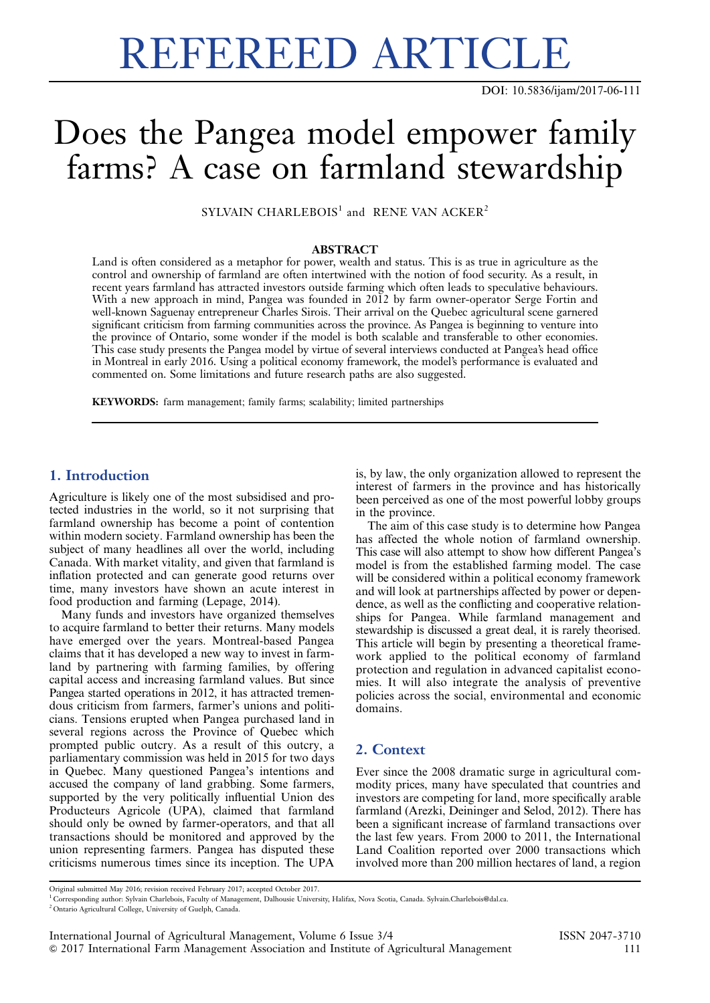# REFEREED ARTICLE

DOI: 10.5836/ijam/2017-06-111

# Does the Pangea model empower family farms? A case on farmland stewardship

SYLVAIN CHARLEBOIS<sup>1</sup> and RENE VAN ACKER<sup>2</sup>

#### ABSTRACT

Land is often considered as a metaphor for power, wealth and status. This is as true in agriculture as the control and ownership of farmland are often intertwined with the notion of food security. As a result, in recent years farmland has attracted investors outside farming which often leads to speculative behaviours. With a new approach in mind, Pangea was founded in 2012 by farm owner-operator Serge Fortin and well-known Saguenay entrepreneur Charles Sirois. Their arrival on the Quebec agricultural scene garnered significant criticism from farming communities across the province. As Pangea is beginning to venture into the province of Ontario, some wonder if the model is both scalable and transferable to other economies. This case study presents the Pangea model by virtue of several interviews conducted at Pangea's head office in Montreal in early 2016. Using a political economy framework, the model's performance is evaluated and commented on. Some limitations and future research paths are also suggested.

KEYWORDS: farm management; family farms; scalability; limited partnerships

# 1. Introduction

Agriculture is likely one of the most subsidised and protected industries in the world, so it not surprising that farmland ownership has become a point of contention within modern society. Farmland ownership has been the subject of many headlines all over the world, including Canada. With market vitality, and given that farmland is inflation protected and can generate good returns over time, many investors have shown an acute interest in food production and farming (Lepage, 2014).

Many funds and investors have organized themselves to acquire farmland to better their returns. Many models have emerged over the years. Montreal-based Pangea claims that it has developed a new way to invest in farmland by partnering with farming families, by offering capital access and increasing farmland values. But since Pangea started operations in 2012, it has attracted tremendous criticism from farmers, farmer's unions and politicians. Tensions erupted when Pangea purchased land in several regions across the Province of Quebec which prompted public outcry. As a result of this outcry, a parliamentary commission was held in 2015 for two days in Quebec. Many questioned Pangea's intentions and accused the company of land grabbing. Some farmers, supported by the very politically influential Union des Producteurs Agricole (UPA), claimed that farmland should only be owned by farmer-operators, and that all transactions should be monitored and approved by the union representing farmers. Pangea has disputed these criticisms numerous times since its inception. The UPA

is, by law, the only organization allowed to represent the interest of farmers in the province and has historically been perceived as one of the most powerful lobby groups in the province.

The aim of this case study is to determine how Pangea has affected the whole notion of farmland ownership. This case will also attempt to show how different Pangea's model is from the established farming model. The case will be considered within a political economy framework and will look at partnerships affected by power or dependence, as well as the conflicting and cooperative relationships for Pangea. While farmland management and stewardship is discussed a great deal, it is rarely theorised. This article will begin by presenting a theoretical framework applied to the political economy of farmland protection and regulation in advanced capitalist economies. It will also integrate the analysis of preventive policies across the social, environmental and economic domains.

## 2. Context

Ever since the 2008 dramatic surge in agricultural commodity prices, many have speculated that countries and investors are competing for land, more specifically arable farmland (Arezki, Deininger and Selod, 2012). There has been a significant increase of farmland transactions over the last few years. From 2000 to 2011, the International Land Coalition reported over 2000 transactions which involved more than 200 million hectares of land, a region

Original submitted May 2016; revision received February 2017; accepted October 2017.

<sup>1</sup> Corresponding author: Sylvain Charlebois, Faculty of Management, Dalhousie University, Halifax, Nova Scotia, Canada. [Sylvain.Charlebois@dal.ca.](mailto:Sylvain.Charlebois@dal.ca)

<sup>2</sup> Ontario Agricultural College, University of Guelph, Canada.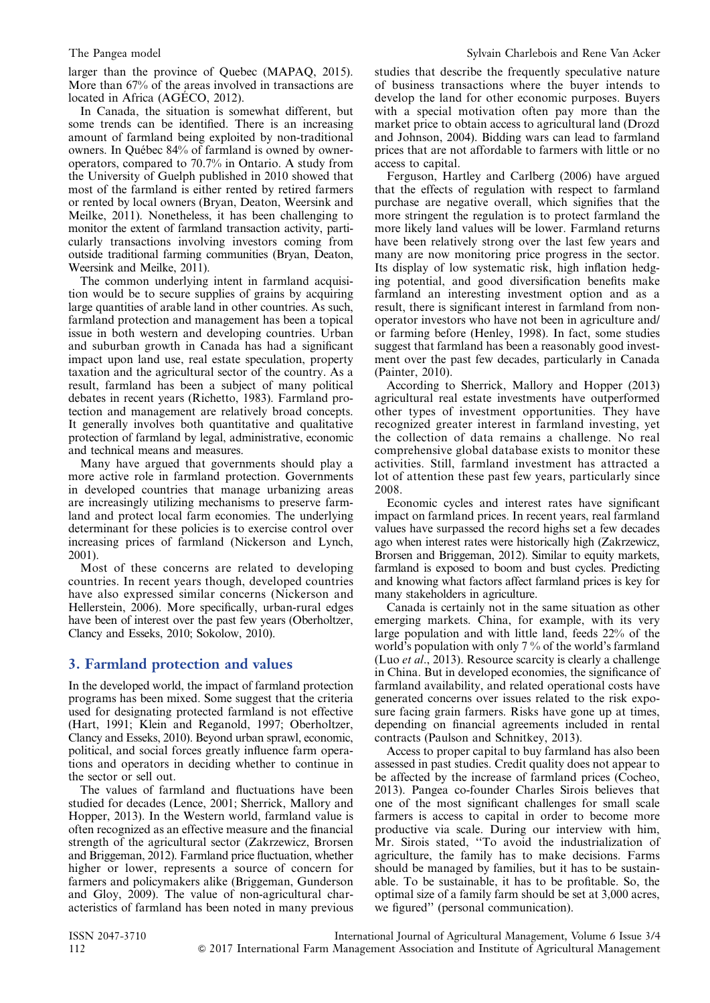larger than the province of Quebec (MAPAQ, 2015). More than 67% of the areas involved in transactions are located in Africa (AGÉCO, 2012).

In Canada, the situation is somewhat different, but some trends can be identified. There is an increasing amount of farmland being exploited by non-traditional owners. In Québec 84% of farmland is owned by owneroperators, compared to 70.7% in Ontario. A study from the University of Guelph published in 2010 showed that most of the farmland is either rented by retired farmers or rented by local owners (Bryan, Deaton, Weersink and Meilke, 2011). Nonetheless, it has been challenging to monitor the extent of farmland transaction activity, particularly transactions involving investors coming from outside traditional farming communities (Bryan, Deaton, Weersink and Meilke, 2011).

The common underlying intent in farmland acquisition would be to secure supplies of grains by acquiring large quantities of arable land in other countries. As such, farmland protection and management has been a topical issue in both western and developing countries. Urban and suburban growth in Canada has had a significant impact upon land use, real estate speculation, property taxation and the agricultural sector of the country. As a result, farmland has been a subject of many political debates in recent years (Richetto, 1983). Farmland protection and management are relatively broad concepts. It generally involves both quantitative and qualitative protection of farmland by legal, administrative, economic and technical means and measures.

Many have argued that governments should play a more active role in farmland protection. Governments in developed countries that manage urbanizing areas are increasingly utilizing mechanisms to preserve farmland and protect local farm economies. The underlying determinant for these policies is to exercise control over increasing prices of farmland (Nickerson and Lynch, 2001).

Most of these concerns are related to developing countries. In recent years though, developed countries have also expressed similar concerns (Nickerson and Hellerstein, 2006). More specifically, urban-rural edges have been of interest over the past few years (Oberholtzer, Clancy and Esseks, 2010; Sokolow, 2010).

### 3. Farmland protection and values

In the developed world, the impact of farmland protection programs has been mixed. Some suggest that the criteria used for designating protected farmland is not effective (Hart, 1991; Klein and Reganold, 1997; Oberholtzer, Clancy and Esseks, 2010). Beyond urban sprawl, economic, political, and social forces greatly influence farm operations and operators in deciding whether to continue in the sector or sell out.

The values of farmland and fluctuations have been studied for decades (Lence, 2001; Sherrick, Mallory and Hopper, 2013). In the Western world, farmland value is often recognized as an effective measure and the financial strength of the agricultural sector (Zakrzewicz, Brorsen and Briggeman, 2012). Farmland price fluctuation, whether higher or lower, represents a source of concern for farmers and policymakers alike (Briggeman, Gunderson and Gloy, 2009). The value of non-agricultural characteristics of farmland has been noted in many previous

studies that describe the frequently speculative nature of business transactions where the buyer intends to develop the land for other economic purposes. Buyers with a special motivation often pay more than the market price to obtain access to agricultural land (Drozd and Johnson, 2004). Bidding wars can lead to farmland prices that are not affordable to farmers with little or no access to capital.

Ferguson, Hartley and Carlberg (2006) have argued that the effects of regulation with respect to farmland purchase are negative overall, which signifies that the more stringent the regulation is to protect farmland the more likely land values will be lower. Farmland returns have been relatively strong over the last few years and many are now monitoring price progress in the sector. Its display of low systematic risk, high inflation hedging potential, and good diversification benefits make farmland an interesting investment option and as a result, there is significant interest in farmland from nonoperator investors who have not been in agriculture and/ or farming before (Henley, 1998). In fact, some studies suggest that farmland has been a reasonably good investment over the past few decades, particularly in Canada (Painter, 2010).

According to Sherrick, Mallory and Hopper (2013) agricultural real estate investments have outperformed other types of investment opportunities. They have recognized greater interest in farmland investing, yet the collection of data remains a challenge. No real comprehensive global database exists to monitor these activities. Still, farmland investment has attracted a lot of attention these past few years, particularly since 2008.

Economic cycles and interest rates have significant impact on farmland prices. In recent years, real farmland values have surpassed the record highs set a few decades ago when interest rates were historically high (Zakrzewicz, Brorsen and Briggeman, 2012). Similar to equity markets, farmland is exposed to boom and bust cycles. Predicting and knowing what factors affect farmland prices is key for many stakeholders in agriculture.

Canada is certainly not in the same situation as other emerging markets. China, for example, with its very large population and with little land, feeds 22% of the world's population with only 7 % of the world's farmland (Luo et al., 2013). Resource scarcity is clearly a challenge in China. But in developed economies, the significance of farmland availability, and related operational costs have generated concerns over issues related to the risk exposure facing grain farmers. Risks have gone up at times, depending on financial agreements included in rental contracts (Paulson and Schnitkey, 2013).

Access to proper capital to buy farmland has also been assessed in past studies. Credit quality does not appear to be affected by the increase of farmland prices (Cocheo, 2013). Pangea co-founder Charles Sirois believes that one of the most significant challenges for small scale farmers is access to capital in order to become more productive via scale. During our interview with him, Mr. Sirois stated, ''To avoid the industrialization of agriculture, the family has to make decisions. Farms should be managed by families, but it has to be sustainable. To be sustainable, it has to be profitable. So, the optimal size of a family farm should be set at 3,000 acres, we figured'' (personal communication).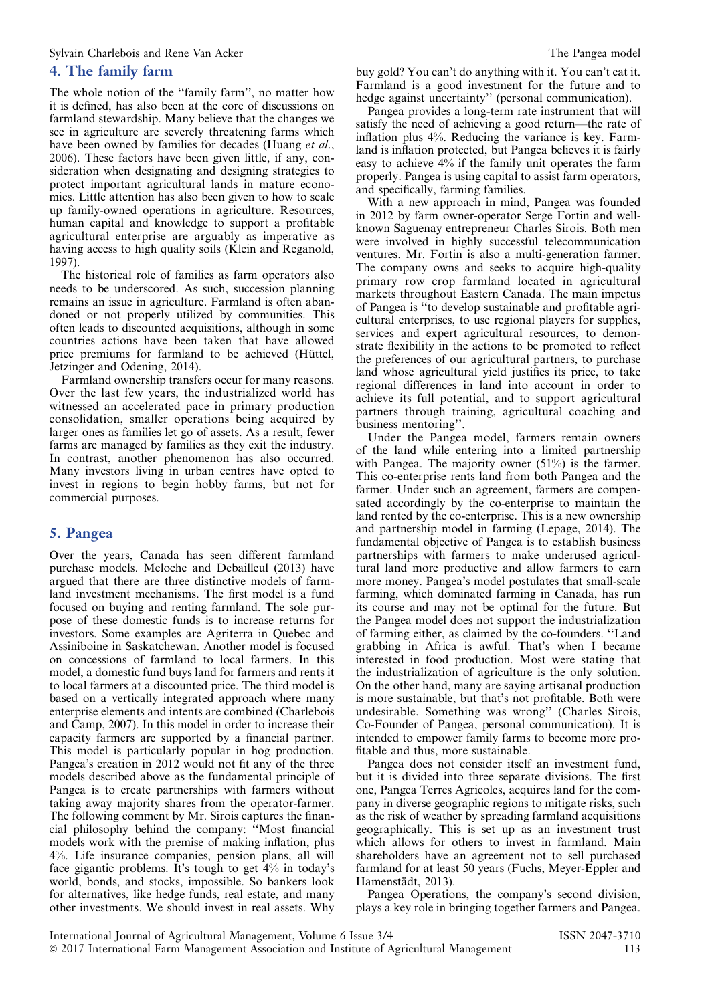### 4. The family farm

The whole notion of the ''family farm'', no matter how it is defined, has also been at the core of discussions on farmland stewardship. Many believe that the changes we see in agriculture are severely threatening farms which have been owned by families for decades (Huang et al., 2006). These factors have been given little, if any, consideration when designating and designing strategies to protect important agricultural lands in mature economies. Little attention has also been given to how to scale up family-owned operations in agriculture. Resources, human capital and knowledge to support a profitable agricultural enterprise are arguably as imperative as having access to high quality soils (Klein and Reganold, 1997).

The historical role of families as farm operators also needs to be underscored. As such, succession planning remains an issue in agriculture. Farmland is often abandoned or not properly utilized by communities. This often leads to discounted acquisitions, although in some countries actions have been taken that have allowed price premiums for farmland to be achieved (Hüttel, Jetzinger and Odening, 2014).

Farmland ownership transfers occur for many reasons. Over the last few years, the industrialized world has witnessed an accelerated pace in primary production consolidation, smaller operations being acquired by larger ones as families let go of assets. As a result, fewer farms are managed by families as they exit the industry. In contrast, another phenomenon has also occurred. Many investors living in urban centres have opted to invest in regions to begin hobby farms, but not for commercial purposes.

# 5. Pangea

Over the years, Canada has seen different farmland purchase models. Meloche and Debailleul (2013) have argued that there are three distinctive models of farmland investment mechanisms. The first model is a fund focused on buying and renting farmland. The sole purpose of these domestic funds is to increase returns for investors. Some examples are Agriterra in Quebec and Assiniboine in Saskatchewan. Another model is focused on concessions of farmland to local farmers. In this model, a domestic fund buys land for farmers and rents it to local farmers at a discounted price. The third model is based on a vertically integrated approach where many enterprise elements and intents are combined (Charlebois and Camp, 2007). In this model in order to increase their capacity farmers are supported by a financial partner. This model is particularly popular in hog production. Pangea's creation in 2012 would not fit any of the three models described above as the fundamental principle of Pangea is to create partnerships with farmers without taking away majority shares from the operator-farmer. The following comment by Mr. Sirois captures the financial philosophy behind the company: ''Most financial models work with the premise of making inflation, plus 4%. Life insurance companies, pension plans, all will face gigantic problems. It's tough to get 4% in today's world, bonds, and stocks, impossible. So bankers look for alternatives, like hedge funds, real estate, and many other investments. We should invest in real assets. Why

buy gold? You can't do anything with it. You can't eat it. Farmland is a good investment for the future and to hedge against uncertainty'' (personal communication).

Pangea provides a long-term rate instrument that will satisfy the need of achieving a good return—the rate of inflation plus 4%. Reducing the variance is key. Farmland is inflation protected, but Pangea believes it is fairly easy to achieve 4% if the family unit operates the farm properly. Pangea is using capital to assist farm operators, and specifically, farming families.

With a new approach in mind, Pangea was founded in 2012 by farm owner-operator Serge Fortin and wellknown Saguenay entrepreneur Charles Sirois. Both men were involved in highly successful telecommunication ventures. Mr. Fortin is also a multi-generation farmer. The company owns and seeks to acquire high-quality primary row crop farmland located in agricultural markets throughout Eastern Canada. The main impetus of Pangea is ''to develop sustainable and profitable agricultural enterprises, to use regional players for supplies, services and expert agricultural resources, to demonstrate flexibility in the actions to be promoted to reflect the preferences of our agricultural partners, to purchase land whose agricultural yield justifies its price, to take regional differences in land into account in order to achieve its full potential, and to support agricultural partners through training, agricultural coaching and business mentoring''.

Under the Pangea model, farmers remain owners of the land while entering into a limited partnership with Pangea. The majority owner (51%) is the farmer. This co-enterprise rents land from both Pangea and the farmer. Under such an agreement, farmers are compensated accordingly by the co-enterprise to maintain the land rented by the co-enterprise. This is a new ownership and partnership model in farming (Lepage, 2014). The fundamental objective of Pangea is to establish business partnerships with farmers to make underused agricultural land more productive and allow farmers to earn more money. Pangea's model postulates that small-scale farming, which dominated farming in Canada, has run its course and may not be optimal for the future. But the Pangea model does not support the industrialization of farming either, as claimed by the co-founders. ''Land grabbing in Africa is awful. That's when I became interested in food production. Most were stating that the industrialization of agriculture is the only solution. On the other hand, many are saying artisanal production is more sustainable, but that's not profitable. Both were undesirable. Something was wrong'' (Charles Sirois, Co-Founder of Pangea, personal communication). It is intended to empower family farms to become more profitable and thus, more sustainable.

Pangea does not consider itself an investment fund, but it is divided into three separate divisions. The first one, Pangea Terres Agricoles, acquires land for the company in diverse geographic regions to mitigate risks, such as the risk of weather by spreading farmland acquisitions geographically. This is set up as an investment trust which allows for others to invest in farmland. Main shareholders have an agreement not to sell purchased farmland for at least 50 years (Fuchs, Meyer-Eppler and Hamenstädt, 2013).

Pangea Operations, the company's second division, plays a key role in bringing together farmers and Pangea.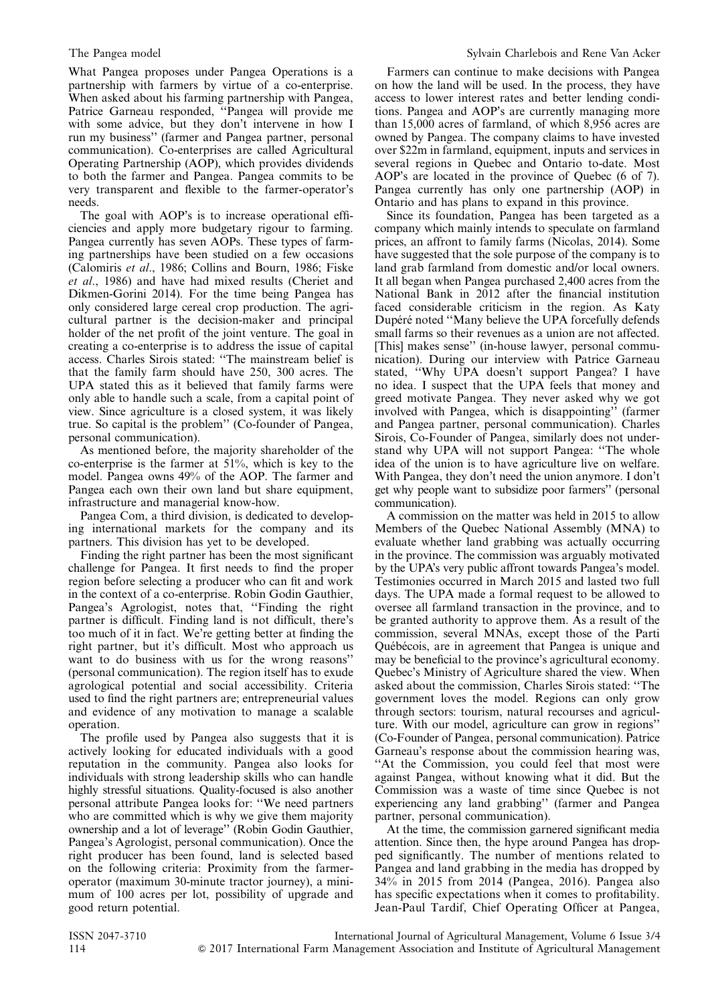What Pangea proposes under Pangea Operations is a partnership with farmers by virtue of a co-enterprise. When asked about his farming partnership with Pangea, Patrice Garneau responded, ''Pangea will provide me with some advice, but they don't intervene in how I run my business'' (farmer and Pangea partner, personal communication). Co-enterprises are called Agricultural Operating Partnership (AOP), which provides dividends to both the farmer and Pangea. Pangea commits to be very transparent and flexible to the farmer-operator's needs.

The goal with AOP's is to increase operational efficiencies and apply more budgetary rigour to farming. Pangea currently has seven AOPs. These types of farming partnerships have been studied on a few occasions (Calomiris et al., 1986; Collins and Bourn, 1986; Fiske et al., 1986) and have had mixed results (Cheriet and Dikmen-Gorini 2014). For the time being Pangea has only considered large cereal crop production. The agricultural partner is the decision-maker and principal holder of the net profit of the joint venture. The goal in creating a co-enterprise is to address the issue of capital access. Charles Sirois stated: ''The mainstream belief is that the family farm should have 250, 300 acres. The UPA stated this as it believed that family farms were only able to handle such a scale, from a capital point of view. Since agriculture is a closed system, it was likely true. So capital is the problem'' (Co-founder of Pangea, personal communication).

As mentioned before, the majority shareholder of the co-enterprise is the farmer at 51%, which is key to the model. Pangea owns 49% of the AOP. The farmer and Pangea each own their own land but share equipment, infrastructure and managerial know-how.

Pangea Com, a third division, is dedicated to developing international markets for the company and its partners. This division has yet to be developed.

Finding the right partner has been the most significant challenge for Pangea. It first needs to find the proper region before selecting a producer who can fit and work in the context of a co-enterprise. Robin Godin Gauthier, Pangea's Agrologist, notes that, ''Finding the right partner is difficult. Finding land is not difficult, there's too much of it in fact. We're getting better at finding the right partner, but it's difficult. Most who approach us want to do business with us for the wrong reasons'' (personal communication). The region itself has to exude agrological potential and social accessibility. Criteria used to find the right partners are; entrepreneurial values and evidence of any motivation to manage a scalable operation.

The profile used by Pangea also suggests that it is actively looking for educated individuals with a good reputation in the community. Pangea also looks for individuals with strong leadership skills who can handle highly stressful situations. Quality-focused is also another personal attribute Pangea looks for: ''We need partners who are committed which is why we give them majority ownership and a lot of leverage'' (Robin Godin Gauthier, Pangea's Agrologist, personal communication). Once the right producer has been found, land is selected based on the following criteria: Proximity from the farmeroperator (maximum 30-minute tractor journey), a minimum of 100 acres per lot, possibility of upgrade and good return potential.

Farmers can continue to make decisions with Pangea on how the land will be used. In the process, they have access to lower interest rates and better lending conditions. Pangea and AOP's are currently managing more than 15,000 acres of farmland, of which 8,956 acres are owned by Pangea. The company claims to have invested over \$22m in farmland, equipment, inputs and services in several regions in Quebec and Ontario to-date. Most AOP's are located in the province of Quebec (6 of 7). Pangea currently has only one partnership (AOP) in Ontario and has plans to expand in this province.

Since its foundation, Pangea has been targeted as a company which mainly intends to speculate on farmland prices, an affront to family farms (Nicolas, 2014). Some have suggested that the sole purpose of the company is to land grab farmland from domestic and/or local owners. It all began when Pangea purchased 2,400 acres from the National Bank in 2012 after the financial institution faced considerable criticism in the region. As Katy Dupéré noted ''Many believe the UPA forcefully defends small farms so their revenues as a union are not affected. [This] makes sense'' (in-house lawyer, personal communication). During our interview with Patrice Garneau stated, ''Why UPA doesn't support Pangea? I have no idea. I suspect that the UPA feels that money and greed motivate Pangea. They never asked why we got involved with Pangea, which is disappointing'' (farmer and Pangea partner, personal communication). Charles Sirois, Co-Founder of Pangea, similarly does not understand why UPA will not support Pangea: ''The whole idea of the union is to have agriculture live on welfare. With Pangea, they don't need the union anymore. I don't get why people want to subsidize poor farmers'' (personal communication).

A commission on the matter was held in 2015 to allow Members of the Quebec National Assembly (MNA) to evaluate whether land grabbing was actually occurring in the province. The commission was arguably motivated by the UPA's very public affront towards Pangea's model. Testimonies occurred in March 2015 and lasted two full days. The UPA made a formal request to be allowed to oversee all farmland transaction in the province, and to be granted authority to approve them. As a result of the commission, several MNAs, except those of the Parti Québécois, are in agreement that Pangea is unique and may be beneficial to the province's agricultural economy. Quebec's Ministry of Agriculture shared the view. When asked about the commission, Charles Sirois stated: ''The government loves the model. Regions can only grow through sectors: tourism, natural recourses and agriculture. With our model, agriculture can grow in regions'' (Co-Founder of Pangea, personal communication). Patrice Garneau's response about the commission hearing was, "At the Commission, you could feel that most were against Pangea, without knowing what it did. But the Commission was a waste of time since Quebec is not experiencing any land grabbing'' (farmer and Pangea partner, personal communication).

At the time, the commission garnered significant media attention. Since then, the hype around Pangea has dropped significantly. The number of mentions related to Pangea and land grabbing in the media has dropped by 34% in 2015 from 2014 (Pangea, 2016). Pangea also has specific expectations when it comes to profitability. Jean-Paul Tardif, Chief Operating Officer at Pangea,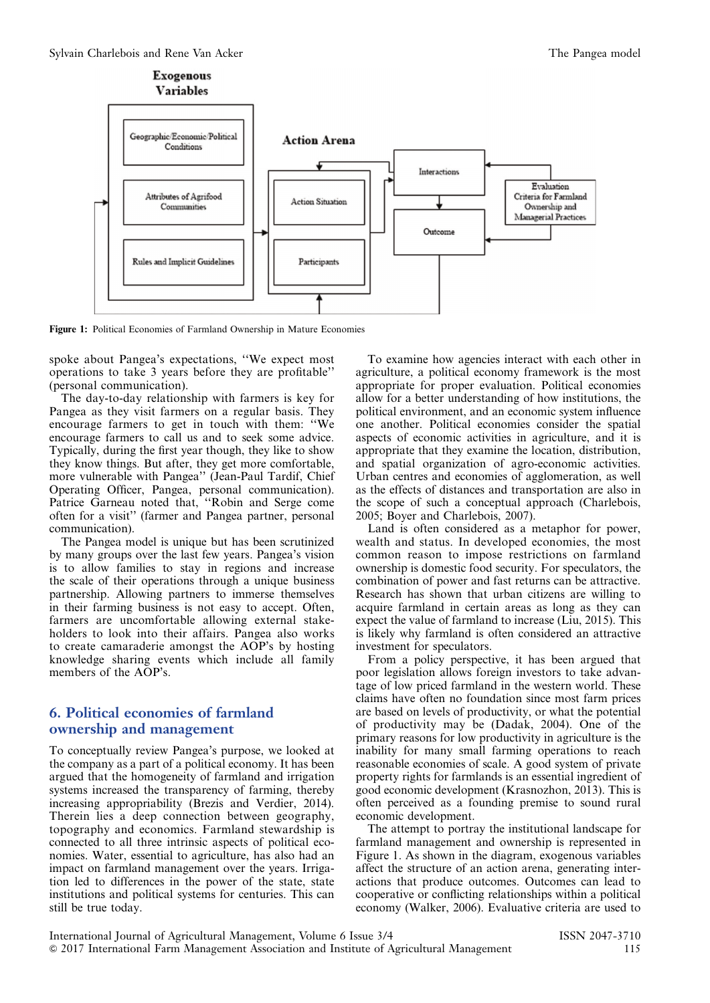<span id="page-4-0"></span>

Figure 1: Political Economies of Farmland Ownership in Mature Economies

spoke about Pangea's expectations, ''We expect most operations to take 3 years before they are profitable'' (personal communication).

The day-to-day relationship with farmers is key for Pangea as they visit farmers on a regular basis. They encourage farmers to get in touch with them: ''We encourage farmers to call us and to seek some advice. Typically, during the first year though, they like to show they know things. But after, they get more comfortable, more vulnerable with Pangea'' (Jean-Paul Tardif, Chief Operating Officer, Pangea, personal communication). Patrice Garneau noted that, ''Robin and Serge come often for a visit'' (farmer and Pangea partner, personal communication).

The Pangea model is unique but has been scrutinized by many groups over the last few years. Pangea's vision is to allow families to stay in regions and increase the scale of their operations through a unique business partnership. Allowing partners to immerse themselves in their farming business is not easy to accept. Often, farmers are uncomfortable allowing external stakeholders to look into their affairs. Pangea also works to create camaraderie amongst the AOP's by hosting knowledge sharing events which include all family members of the AOP's.

# 6. Political economies of farmland ownership and management

To conceptually review Pangea's purpose, we looked at the company as a part of a political economy. It has been argued that the homogeneity of farmland and irrigation systems increased the transparency of farming, thereby increasing appropriability (Brezis and Verdier, 2014). Therein lies a deep connection between geography, topography and economics. Farmland stewardship is connected to all three intrinsic aspects of political economies. Water, essential to agriculture, has also had an impact on farmland management over the years. Irrigation led to differences in the power of the state, state institutions and political systems for centuries. This can still be true today.

To examine how agencies interact with each other in agriculture, a political economy framework is the most appropriate for proper evaluation. Political economies allow for a better understanding of how institutions, the political environment, and an economic system influence one another. Political economies consider the spatial aspects of economic activities in agriculture, and it is appropriate that they examine the location, distribution, and spatial organization of agro-economic activities. Urban centres and economies of agglomeration, as well as the effects of distances and transportation are also in the scope of such a conceptual approach (Charlebois, 2005; Boyer and Charlebois, 2007).

Land is often considered as a metaphor for power, wealth and status. In developed economies, the most common reason to impose restrictions on farmland ownership is domestic food security. For speculators, the combination of power and fast returns can be attractive. Research has shown that urban citizens are willing to acquire farmland in certain areas as long as they can expect the value of farmland to increase (Liu, 2015). This is likely why farmland is often considered an attractive investment for speculators.

From a policy perspective, it has been argued that poor legislation allows foreign investors to take advantage of low priced farmland in the western world. These claims have often no foundation since most farm prices are based on levels of productivity, or what the potential of productivity may be (Dadak, 2004). One of the primary reasons for low productivity in agriculture is the inability for many small farming operations to reach reasonable economies of scale. A good system of private property rights for farmlands is an essential ingredient of good economic development (Krasnozhon, 2013). This is often perceived as a founding premise to sound rural economic development.

The attempt to portray the institutional landscape for farmland management and ownership is represented in Figure 1. As shown in the diagram, exogenous variables affect the structure of an action arena, generating interactions that produce outcomes. Outcomes can lead to cooperative or conflicting relationships within a political economy (Walker, 2006). Evaluative criteria are used to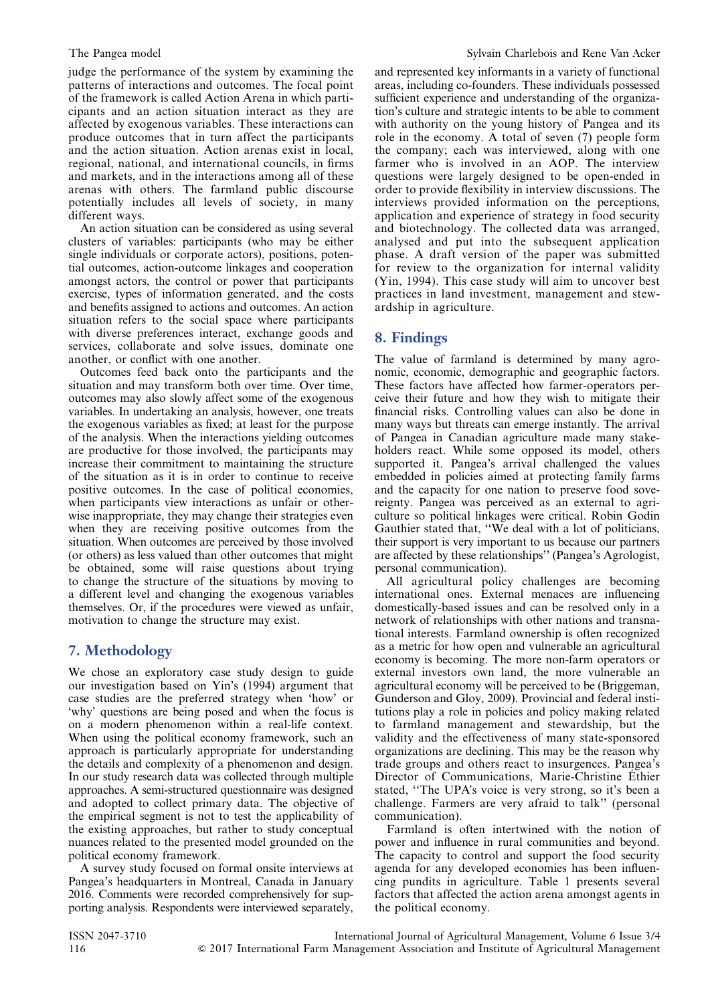judge the performance of the system by examining the patterns of interactions and outcomes. The focal point of the framework is called Action Arena in which participants and an action situation interact as they are affected by exogenous variables. These interactions can produce outcomes that in turn affect the participants and the action situation. Action arenas exist in local, regional, national, and international councils, in firms and markets, and in the interactions among all of these arenas with others. The farmland public discourse potentially includes all levels of society, in many different ways.

An action situation can be considered as using several clusters of variables: participants (who may be either single individuals or corporate actors), positions, potential outcomes, action-outcome linkages and cooperation amongst actors, the control or power that participants exercise, types of information generated, and the costs and benefits assigned to actions and outcomes. An action situation refers to the social space where participants with diverse preferences interact, exchange goods and services, collaborate and solve issues, dominate one another, or conflict with one another.

Outcomes feed back onto the participants and the situation and may transform both over time. Over time, outcomes may also slowly affect some of the exogenous variables. In undertaking an analysis, however, one treats the exogenous variables as fixed; at least for the purpose of the analysis. When the interactions yielding outcomes are productive for those involved, the participants may increase their commitment to maintaining the structure of the situation as it is in order to continue to receive positive outcomes. In the case of political economies, when participants view interactions as unfair or otherwise inappropriate, they may change their strategies even when they are receiving positive outcomes from the situation. When outcomes are perceived by those involved (or others) as less valued than other outcomes that might be obtained, some will raise questions about trying to change the structure of the situations by moving to a different level and changing the exogenous variables themselves. Or, if the procedures were viewed as unfair, motivation to change the structure may exist.

# 7. Methodology

We chose an exploratory case study design to guide our investigation based on Yin's (1994) argument that case studies are the preferred strategy when 'how' or 'why' questions are being posed and when the focus is on a modern phenomenon within a real-life context. When using the political economy framework, such an approach is particularly appropriate for understanding the details and complexity of a phenomenon and design. In our study research data was collected through multiple approaches. A semi-structured questionnaire was designed and adopted to collect primary data. The objective of the empirical segment is not to test the applicability of the existing approaches, but rather to study conceptual nuances related to the presented model grounded on the political economy framework.

A survey study focused on formal onsite interviews at Pangea's headquarters in Montreal, Canada in January 2016. Comments were recorded comprehensively for supporting analysis. Respondents were interviewed separately, and represented key informants in a variety of functional areas, including co-founders. These individuals possessed sufficient experience and understanding of the organization's culture and strategic intents to be able to comment with authority on the young history of Pangea and its role in the economy. A total of seven (7) people form the company; each was interviewed, along with one farmer who is involved in an AOP. The interview questions were largely designed to be open-ended in order to provide flexibility in interview discussions. The interviews provided information on the perceptions, application and experience of strategy in food security and biotechnology. The collected data was arranged, analysed and put into the subsequent application phase. A draft version of the paper was submitted for review to the organization for internal validity (Yin, 1994). This case study will aim to uncover best practices in land investment, management and stewardship in agriculture.

# 8. Findings

The value of farmland is determined by many agronomic, economic, demographic and geographic factors. These factors have affected how farmer-operators perceive their future and how they wish to mitigate their financial risks. Controlling values can also be done in many ways but threats can emerge instantly. The arrival of Pangea in Canadian agriculture made many stakeholders react. While some opposed its model, others supported it. Pangea's arrival challenged the values embedded in policies aimed at protecting family farms and the capacity for one nation to preserve food sovereignty. Pangea was perceived as an external to agriculture so political linkages were critical. Robin Godin Gauthier stated that, ''We deal with a lot of politicians, their support is very important to us because our partners are affected by these relationships'' (Pangea's Agrologist, personal communication).

All agricultural policy challenges are becoming international ones. External menaces are influencing domestically-based issues and can be resolved only in a network of relationships with other nations and transnational interests. Farmland ownership is often recognized as a metric for how open and vulnerable an agricultural economy is becoming. The more non-farm operators or external investors own land, the more vulnerable an agricultural economy will be perceived to be (Briggeman, Gunderson and Gloy, 2009). Provincial and federal institutions play a role in policies and policy making related to farmland management and stewardship, but the validity and the effectiveness of many state-sponsored organizations are declining. This may be the reason why trade groups and others react to insurgences. Pangea's Director of Communications, Marie-Christine Éthier stated, ''The UPA's voice is very strong, so it's been a challenge. Farmers are very afraid to talk'' (personal communication).

Farmland is often intertwined with the notion of power and influence in rural communities and beyond. The capacity to control and support the food security agenda for any developed economies has been influencing pundits in agriculture. [Table 1](#page-6-0) presents several factors that affected the action arena amongst agents in the political economy.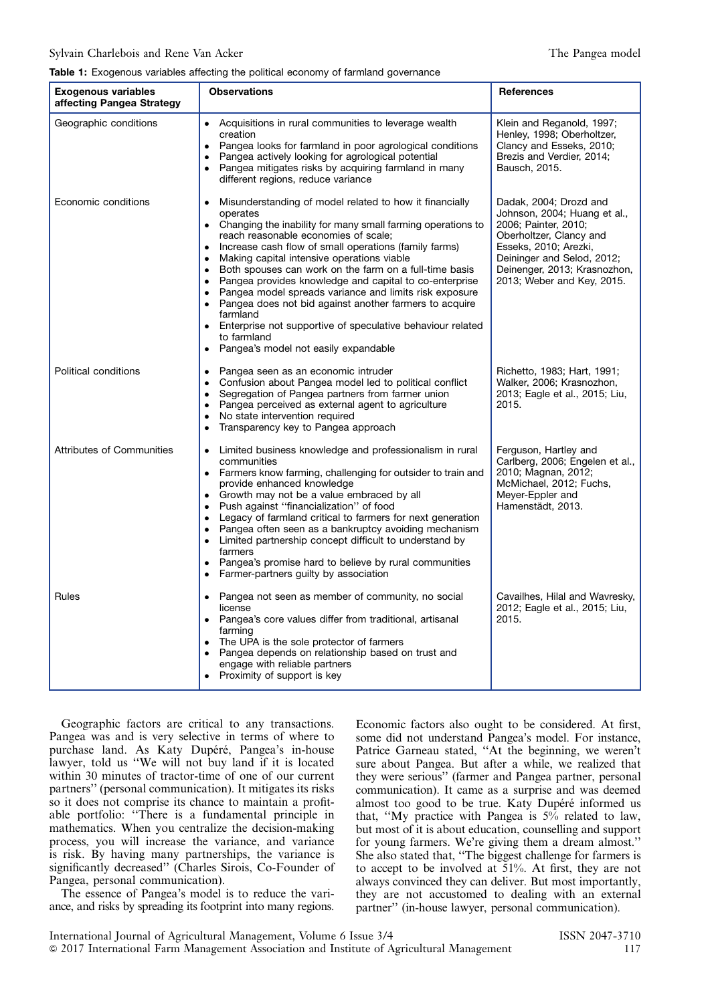#### <span id="page-6-0"></span>Table 1: Exogenous variables affecting the political economy of farmland governance

| <b>Exogenous variables</b><br>affecting Pangea Strategy | <b>Observations</b>                                                                                                                                                                                                                                                                                                                                                                                                                                                                                                                                                                                                                                                                                                         | <b>References</b>                                                                                                                                                                                                              |
|---------------------------------------------------------|-----------------------------------------------------------------------------------------------------------------------------------------------------------------------------------------------------------------------------------------------------------------------------------------------------------------------------------------------------------------------------------------------------------------------------------------------------------------------------------------------------------------------------------------------------------------------------------------------------------------------------------------------------------------------------------------------------------------------------|--------------------------------------------------------------------------------------------------------------------------------------------------------------------------------------------------------------------------------|
| Geographic conditions                                   | Acquisitions in rural communities to leverage wealth<br>creation<br>Pangea looks for farmland in poor agrological conditions<br>$\bullet$<br>Pangea actively looking for agrological potential<br>$\bullet$<br>• Pangea mitigates risks by acquiring farmland in many<br>different regions, reduce variance                                                                                                                                                                                                                                                                                                                                                                                                                 | Klein and Reganold, 1997;<br>Henley, 1998; Oberholtzer,<br>Clancy and Esseks, 2010;<br>Brezis and Verdier, 2014;<br>Bausch, 2015.                                                                                              |
| Economic conditions                                     | Misunderstanding of model related to how it financially<br>$\bullet$<br>operates<br>Changing the inability for many small farming operations to<br>$\bullet$<br>reach reasonable economies of scale;<br>Increase cash flow of small operations (family farms)<br>$\bullet$<br>Making capital intensive operations viable<br>$\bullet$<br>Both spouses can work on the farm on a full-time basis<br>$\bullet$<br>Pangea provides knowledge and capital to co-enterprise<br>Pangea model spreads variance and limits risk exposure<br>Pangea does not bid against another farmers to acquire<br>farmland<br>Enterprise not supportive of speculative behaviour related<br>to farmland<br>Pangea's model not easily expandable | Dadak, 2004; Drozd and<br>Johnson, 2004; Huang et al.,<br>2006; Painter, 2010;<br>Oberholtzer, Clancy and<br>Esseks, 2010; Arezki,<br>Deininger and Selod, 2012;<br>Deinenger, 2013; Krasnozhon,<br>2013; Weber and Key, 2015. |
| Political conditions                                    | Pangea seen as an economic intruder<br>Confusion about Pangea model led to political conflict<br>$\bullet$<br>Segregation of Pangea partners from farmer union<br>Pangea perceived as external agent to agriculture<br>$\bullet$<br>No state intervention required<br>Transparency key to Pangea approach<br>$\bullet$                                                                                                                                                                                                                                                                                                                                                                                                      | Richetto, 1983; Hart, 1991;<br>Walker, 2006; Krasnozhon,<br>2013; Eagle et al., 2015; Liu,<br>2015.                                                                                                                            |
| <b>Attributes of Communities</b>                        | Limited business knowledge and professionalism in rural<br>communities<br>• Farmers know farming, challenging for outsider to train and<br>provide enhanced knowledge<br>• Growth may not be a value embraced by all<br>Push against "financialization" of food<br>Legacy of farmland critical to farmers for next generation<br>Pangea often seen as a bankruptcy avoiding mechanism<br>$\bullet$<br>Limited partnership concept difficult to understand by<br>farmers<br>Pangea's promise hard to believe by rural communities<br>$\bullet$<br>Farmer-partners guilty by association                                                                                                                                      | Ferguson, Hartley and<br>Carlberg, 2006; Engelen et al.,<br>2010; Magnan, 2012;<br>McMichael, 2012; Fuchs,<br>Meyer-Eppler and<br>Hamenstädt, 2013.                                                                            |
| Rules                                                   | Pangea not seen as member of community, no social<br>$\bullet$<br>license<br>• Pangea's core values differ from traditional, artisanal<br>farming<br>The UPA is the sole protector of farmers<br>$\bullet$<br>Pangea depends on relationship based on trust and<br>$\bullet$<br>engage with reliable partners<br>Proximity of support is key                                                                                                                                                                                                                                                                                                                                                                                | Cavailhes, Hilal and Wavresky,<br>2012; Eagle et al., 2015; Liu,<br>2015.                                                                                                                                                      |

Geographic factors are critical to any transactions. Pangea was and is very selective in terms of where to purchase land. As Katy Dupéré, Pangea's in-house lawyer, told us ''We will not buy land if it is located within 30 minutes of tractor-time of one of our current partners'' (personal communication). It mitigates its risks so it does not comprise its chance to maintain a profitable portfolio: ''There is a fundamental principle in mathematics. When you centralize the decision-making process, you will increase the variance, and variance is risk. By having many partnerships, the variance is significantly decreased'' (Charles Sirois, Co-Founder of Pangea, personal communication).

The essence of Pangea's model is to reduce the variance, and risks by spreading its footprint into many regions.

Economic factors also ought to be considered. At first, some did not understand Pangea's model. For instance, Patrice Garneau stated, ''At the beginning, we weren't sure about Pangea. But after a while, we realized that they were serious'' (farmer and Pangea partner, personal communication). It came as a surprise and was deemed almost too good to be true. Katy Dupéré informed us that, ''My practice with Pangea is 5% related to law, but most of it is about education, counselling and support for young farmers. We're giving them a dream almost.'' She also stated that, ''The biggest challenge for farmers is to accept to be involved at 51%. At first, they are not always convinced they can deliver. But most importantly, they are not accustomed to dealing with an external partner'' (in-house lawyer, personal communication).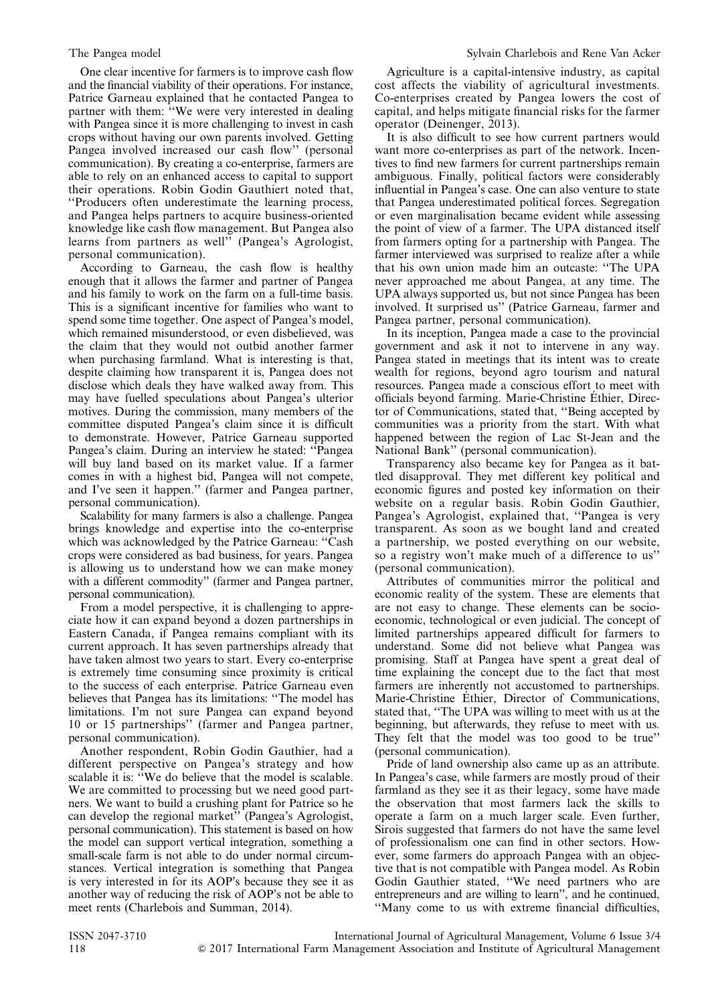One clear incentive for farmers is to improve cash flow and the financial viability of their operations. For instance, Patrice Garneau explained that he contacted Pangea to partner with them: "We were very interested in dealing with Pangea since it is more challenging to invest in cash crops without having our own parents involved. Getting Pangea involved increased our cash flow'' (personal communication). By creating a co-enterprise, farmers are able to rely on an enhanced access to capital to support their operations. Robin Godin Gauthiert noted that, ''Producers often underestimate the learning process, and Pangea helps partners to acquire business-oriented knowledge like cash flow management. But Pangea also learns from partners as well'' (Pangea's Agrologist, personal communication).

According to Garneau, the cash flow is healthy enough that it allows the farmer and partner of Pangea and his family to work on the farm on a full-time basis. This is a significant incentive for families who want to spend some time together. One aspect of Pangea's model, which remained misunderstood, or even disbelieved, was the claim that they would not outbid another farmer when purchasing farmland. What is interesting is that, despite claiming how transparent it is, Pangea does not disclose which deals they have walked away from. This may have fuelled speculations about Pangea's ulterior motives. During the commission, many members of the committee disputed Pangea's claim since it is difficult to demonstrate. However, Patrice Garneau supported Pangea's claim. During an interview he stated: ''Pangea will buy land based on its market value. If a farmer comes in with a highest bid, Pangea will not compete, and I've seen it happen.'' (farmer and Pangea partner, personal communication).

Scalability for many farmers is also a challenge. Pangea brings knowledge and expertise into the co-enterprise which was acknowledged by the Patrice Garneau: ''Cash crops were considered as bad business, for years. Pangea is allowing us to understand how we can make money with a different commodity'' (farmer and Pangea partner, personal communication).

From a model perspective, it is challenging to appreciate how it can expand beyond a dozen partnerships in Eastern Canada, if Pangea remains compliant with its current approach. It has seven partnerships already that have taken almost two years to start. Every co-enterprise is extremely time consuming since proximity is critical to the success of each enterprise. Patrice Garneau even believes that Pangea has its limitations: ''The model has limitations. I'm not sure Pangea can expand beyond 10 or 15 partnerships'' (farmer and Pangea partner, personal communication).

Another respondent, Robin Godin Gauthier, had a different perspective on Pangea's strategy and how scalable it is: "We do believe that the model is scalable. We are committed to processing but we need good partners. We want to build a crushing plant for Patrice so he can develop the regional market'' (Pangea's Agrologist, personal communication). This statement is based on how the model can support vertical integration, something a small-scale farm is not able to do under normal circumstances. Vertical integration is something that Pangea is very interested in for its AOP's because they see it as another way of reducing the risk of AOP's not be able to meet rents (Charlebois and Summan, 2014).

Agriculture is a capital-intensive industry, as capital cost affects the viability of agricultural investments. Co-enterprises created by Pangea lowers the cost of capital, and helps mitigate financial risks for the farmer operator (Deinenger, 2013).

It is also difficult to see how current partners would want more co-enterprises as part of the network. Incentives to find new farmers for current partnerships remain ambiguous. Finally, political factors were considerably influential in Pangea's case. One can also venture to state that Pangea underestimated political forces. Segregation or even marginalisation became evident while assessing the point of view of a farmer. The UPA distanced itself from farmers opting for a partnership with Pangea. The farmer interviewed was surprised to realize after a while that his own union made him an outcaste: ''The UPA never approached me about Pangea, at any time. The UPA always supported us, but not since Pangea has been involved. It surprised us'' (Patrice Garneau, farmer and Pangea partner, personal communication).

In its inception, Pangea made a case to the provincial government and ask it not to intervene in any way. Pangea stated in meetings that its intent was to create wealth for regions, beyond agro tourism and natural resources. Pangea made a conscious effort to meet with officials beyond farming. Marie-Christine Éthier, Director of Communications, stated that, ''Being accepted by communities was a priority from the start. With what happened between the region of Lac St-Jean and the National Bank'' (personal communication).

Transparency also became key for Pangea as it battled disapproval. They met different key political and economic figures and posted key information on their website on a regular basis. Robin Godin Gauthier, Pangea's Agrologist, explained that, ''Pangea is very transparent. As soon as we bought land and created a partnership, we posted everything on our website, so a registry won't make much of a difference to us'' (personal communication).

Attributes of communities mirror the political and economic reality of the system. These are elements that are not easy to change. These elements can be socioeconomic, technological or even judicial. The concept of limited partnerships appeared difficult for farmers to understand. Some did not believe what Pangea was promising. Staff at Pangea have spent a great deal of time explaining the concept due to the fact that most farmers are inherently not accustomed to partnerships. Marie-Christine Éthier, Director of Communications, stated that, ''The UPA was willing to meet with us at the beginning, but afterwards, they refuse to meet with us. They felt that the model was too good to be true'' (personal communication).

Pride of land ownership also came up as an attribute. In Pangea's case, while farmers are mostly proud of their farmland as they see it as their legacy, some have made the observation that most farmers lack the skills to operate a farm on a much larger scale. Even further, Sirois suggested that farmers do not have the same level of professionalism one can find in other sectors. However, some farmers do approach Pangea with an objective that is not compatible with Pangea model. As Robin Godin Gauthier stated, ''We need partners who are entrepreneurs and are willing to learn'', and he continued, ''Many come to us with extreme financial difficulties,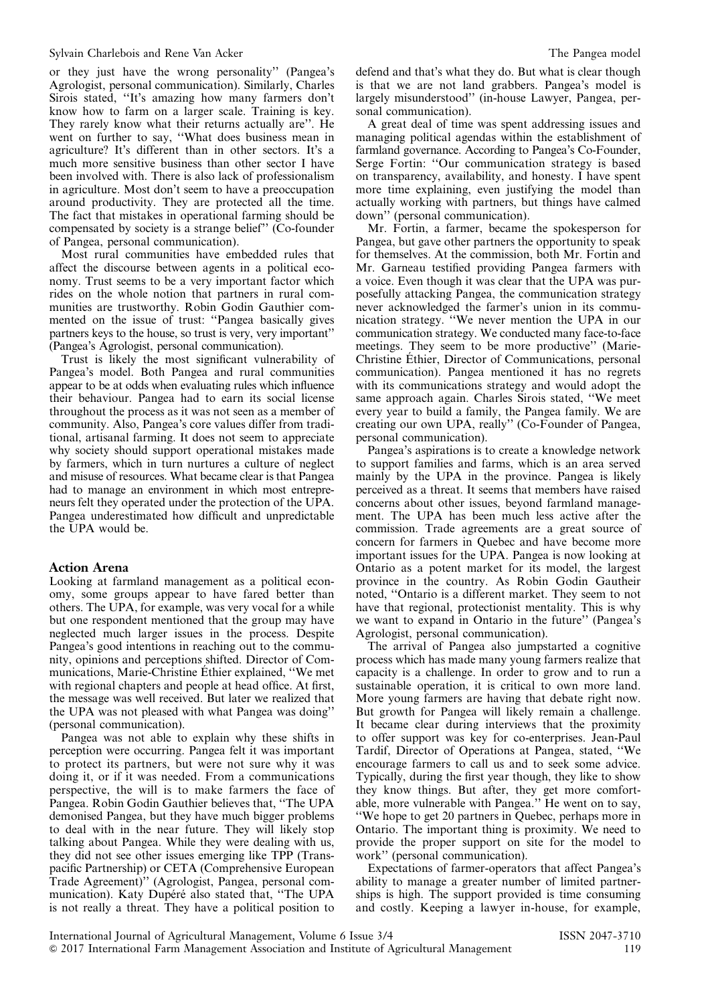or they just have the wrong personality'' (Pangea's Agrologist, personal communication). Similarly, Charles Sirois stated, ''It's amazing how many farmers don't know how to farm on a larger scale. Training is key. They rarely know what their returns actually are''. He went on further to say, ''What does business mean in agriculture? It's different than in other sectors. It's a much more sensitive business than other sector I have been involved with. There is also lack of professionalism in agriculture. Most don't seem to have a preoccupation around productivity. They are protected all the time. The fact that mistakes in operational farming should be compensated by society is a strange belief'' (Co-founder of Pangea, personal communication).

Most rural communities have embedded rules that affect the discourse between agents in a political economy. Trust seems to be a very important factor which rides on the whole notion that partners in rural communities are trustworthy. Robin Godin Gauthier commented on the issue of trust: ''Pangea basically gives partners keys to the house, so trust is very, very important'' (Pangea's Agrologist, personal communication).

Trust is likely the most significant vulnerability of Pangea's model. Both Pangea and rural communities appear to be at odds when evaluating rules which influence their behaviour. Pangea had to earn its social license throughout the process as it was not seen as a member of community. Also, Pangea's core values differ from traditional, artisanal farming. It does not seem to appreciate why society should support operational mistakes made by farmers, which in turn nurtures a culture of neglect and misuse of resources. What became clear is that Pangea had to manage an environment in which most entrepreneurs felt they operated under the protection of the UPA. Pangea underestimated how difficult and unpredictable the UPA would be.

#### Action Arena

Looking at farmland management as a political economy, some groups appear to have fared better than others. The UPA, for example, was very vocal for a while but one respondent mentioned that the group may have neglected much larger issues in the process. Despite Pangea's good intentions in reaching out to the community, opinions and perceptions shifted. Director of Communications, Marie-Christine Éthier explained, ''We met with regional chapters and people at head office. At first, the message was well received. But later we realized that the UPA was not pleased with what Pangea was doing'' (personal communication).

Pangea was not able to explain why these shifts in perception were occurring. Pangea felt it was important to protect its partners, but were not sure why it was doing it, or if it was needed. From a communications perspective, the will is to make farmers the face of Pangea. Robin Godin Gauthier believes that, ''The UPA demonised Pangea, but they have much bigger problems to deal with in the near future. They will likely stop talking about Pangea. While they were dealing with us, they did not see other issues emerging like TPP (Transpacific Partnership) or CETA (Comprehensive European Trade Agreement)'' (Agrologist, Pangea, personal communication). Katy Dupéré also stated that, ''The UPA is not really a threat. They have a political position to

defend and that's what they do. But what is clear though is that we are not land grabbers. Pangea's model is largely misunderstood'' (in-house Lawyer, Pangea, personal communication).

A great deal of time was spent addressing issues and managing political agendas within the establishment of farmland governance. According to Pangea's Co-Founder, Serge Fortin: ''Our communication strategy is based on transparency, availability, and honesty. I have spent more time explaining, even justifying the model than actually working with partners, but things have calmed down'' (personal communication).

Mr. Fortin, a farmer, became the spokesperson for Pangea, but gave other partners the opportunity to speak for themselves. At the commission, both Mr. Fortin and Mr. Garneau testified providing Pangea farmers with a voice. Even though it was clear that the UPA was purposefully attacking Pangea, the communication strategy never acknowledged the farmer's union in its communication strategy. ''We never mention the UPA in our communication strategy. We conducted many face-to-face meetings. They seem to be more productive'' (Marie-Christine Éthier, Director of Communications, personal communication). Pangea mentioned it has no regrets with its communications strategy and would adopt the same approach again. Charles Sirois stated, ''We meet every year to build a family, the Pangea family. We are creating our own UPA, really'' (Co-Founder of Pangea, personal communication).

Pangea's aspirations is to create a knowledge network to support families and farms, which is an area served mainly by the UPA in the province. Pangea is likely perceived as a threat. It seems that members have raised concerns about other issues, beyond farmland management. The UPA has been much less active after the commission. Trade agreements are a great source of concern for farmers in Quebec and have become more important issues for the UPA. Pangea is now looking at Ontario as a potent market for its model, the largest province in the country. As Robin Godin Gautheir noted, ''Ontario is a different market. They seem to not have that regional, protectionist mentality. This is why we want to expand in Ontario in the future'' (Pangea's Agrologist, personal communication).

The arrival of Pangea also jumpstarted a cognitive process which has made many young farmers realize that capacity is a challenge. In order to grow and to run a sustainable operation, it is critical to own more land. More young farmers are having that debate right now. But growth for Pangea will likely remain a challenge. It became clear during interviews that the proximity to offer support was key for co-enterprises. Jean-Paul Tardif, Director of Operations at Pangea, stated, ''We encourage farmers to call us and to seek some advice. Typically, during the first year though, they like to show they know things. But after, they get more comfortable, more vulnerable with Pangea.'' He went on to say, ''We hope to get 20 partners in Quebec, perhaps more in Ontario. The important thing is proximity. We need to provide the proper support on site for the model to work'' (personal communication).

Expectations of farmer-operators that affect Pangea's ability to manage a greater number of limited partnerships is high. The support provided is time consuming and costly. Keeping a lawyer in-house, for example,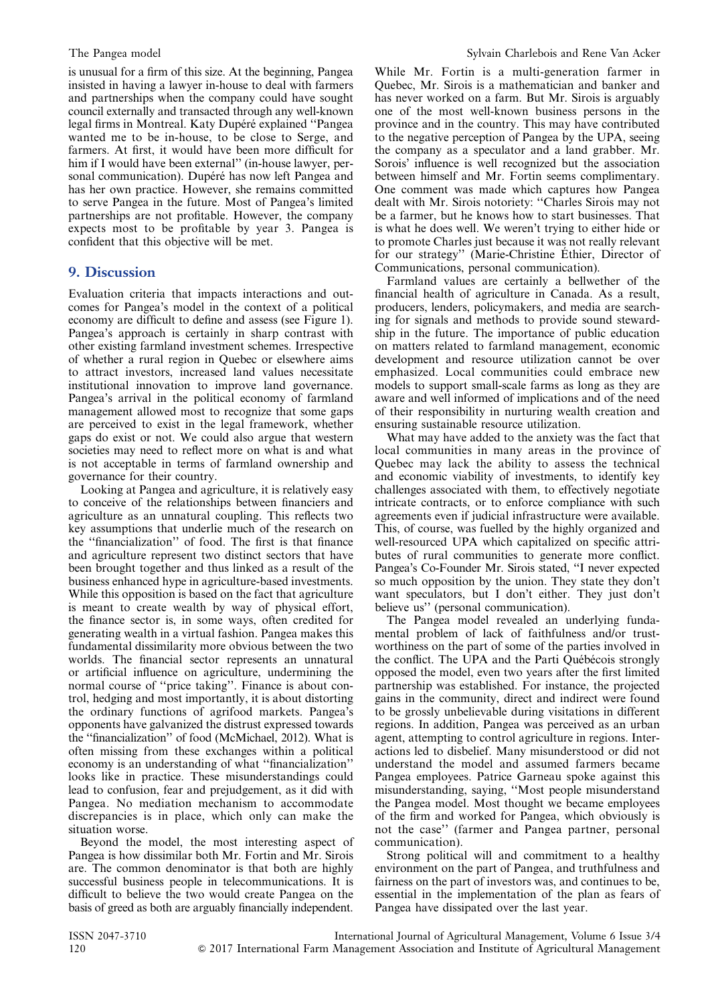is unusual for a firm of this size. At the beginning, Pangea insisted in having a lawyer in-house to deal with farmers and partnerships when the company could have sought council externally and transacted through any well-known legal firms in Montreal. Katy Dupéré explained ''Pangea wanted me to be in-house, to be close to Serge, and farmers. At first, it would have been more difficult for him if I would have been external'' (in-house lawyer, personal communication). Dupéré has now left Pangea and has her own practice. However, she remains committed to serve Pangea in the future. Most of Pangea's limited partnerships are not profitable. However, the company expects most to be profitable by year 3. Pangea is confident that this objective will be met.

## 9. Discussion

Evaluation criteria that impacts interactions and outcomes for Pangea's model in the context of a political economy are difficult to define and assess (see [Figure 1](#page-4-0)). Pangea's approach is certainly in sharp contrast with other existing farmland investment schemes. Irrespective of whether a rural region in Quebec or elsewhere aims to attract investors, increased land values necessitate institutional innovation to improve land governance. Pangea's arrival in the political economy of farmland management allowed most to recognize that some gaps are perceived to exist in the legal framework, whether gaps do exist or not. We could also argue that western societies may need to reflect more on what is and what is not acceptable in terms of farmland ownership and governance for their country.

Looking at Pangea and agriculture, it is relatively easy to conceive of the relationships between financiers and agriculture as an unnatural coupling. This reflects two key assumptions that underlie much of the research on the ''financialization'' of food. The first is that finance and agriculture represent two distinct sectors that have been brought together and thus linked as a result of the business enhanced hype in agriculture-based investments. While this opposition is based on the fact that agriculture is meant to create wealth by way of physical effort, the finance sector is, in some ways, often credited for generating wealth in a virtual fashion. Pangea makes this fundamental dissimilarity more obvious between the two worlds. The financial sector represents an unnatural or artificial influence on agriculture, undermining the normal course of ''price taking''. Finance is about control, hedging and most importantly, it is about distorting the ordinary functions of agrifood markets. Pangea's opponents have galvanized the distrust expressed towards the ''financialization'' of food (McMichael, 2012). What is often missing from these exchanges within a political economy is an understanding of what ''financialization'' looks like in practice. These misunderstandings could lead to confusion, fear and prejudgement, as it did with Pangea. No mediation mechanism to accommodate discrepancies is in place, which only can make the situation worse.

Beyond the model, the most interesting aspect of Pangea is how dissimilar both Mr. Fortin and Mr. Sirois are. The common denominator is that both are highly successful business people in telecommunications. It is difficult to believe the two would create Pangea on the basis of greed as both are arguably financially independent. While Mr. Fortin is a multi-generation farmer in Quebec, Mr. Sirois is a mathematician and banker and has never worked on a farm. But Mr. Sirois is arguably one of the most well-known business persons in the province and in the country. This may have contributed to the negative perception of Pangea by the UPA, seeing the company as a speculator and a land grabber. Mr. Sorois' influence is well recognized but the association between himself and Mr. Fortin seems complimentary. One comment was made which captures how Pangea dealt with Mr. Sirois notoriety: ''Charles Sirois may not be a farmer, but he knows how to start businesses. That is what he does well. We weren't trying to either hide or to promote Charles just because it was not really relevant for our strategy'' (Marie-Christine Éthier, Director of Communications, personal communication).

Farmland values are certainly a bellwether of the financial health of agriculture in Canada. As a result, producers, lenders, policymakers, and media are searching for signals and methods to provide sound stewardship in the future. The importance of public education on matters related to farmland management, economic development and resource utilization cannot be over emphasized. Local communities could embrace new models to support small-scale farms as long as they are aware and well informed of implications and of the need of their responsibility in nurturing wealth creation and ensuring sustainable resource utilization.

What may have added to the anxiety was the fact that local communities in many areas in the province of Quebec may lack the ability to assess the technical and economic viability of investments, to identify key challenges associated with them, to effectively negotiate intricate contracts, or to enforce compliance with such agreements even if judicial infrastructure were available. This, of course, was fuelled by the highly organized and well-resourced UPA which capitalized on specific attributes of rural communities to generate more conflict. Pangea's Co-Founder Mr. Sirois stated, ''I never expected so much opposition by the union. They state they don't want speculators, but I don't either. They just don't believe us" (personal communication).

The Pangea model revealed an underlying fundamental problem of lack of faithfulness and/or trustworthiness on the part of some of the parties involved in the conflict. The UPA and the Parti Québécois strongly opposed the model, even two years after the first limited partnership was established. For instance, the projected gains in the community, direct and indirect were found to be grossly unbelievable during visitations in different regions. In addition, Pangea was perceived as an urban agent, attempting to control agriculture in regions. Interactions led to disbelief. Many misunderstood or did not understand the model and assumed farmers became Pangea employees. Patrice Garneau spoke against this misunderstanding, saying, ''Most people misunderstand the Pangea model. Most thought we became employees of the firm and worked for Pangea, which obviously is not the case'' (farmer and Pangea partner, personal communication).

Strong political will and commitment to a healthy environment on the part of Pangea, and truthfulness and fairness on the part of investors was, and continues to be, essential in the implementation of the plan as fears of Pangea have dissipated over the last year.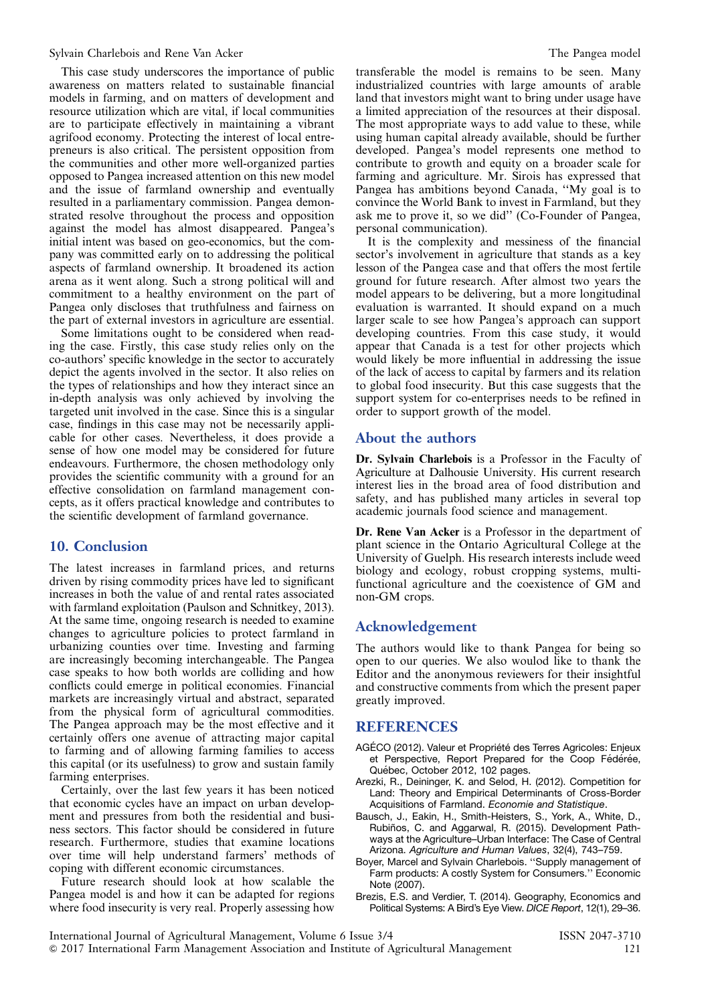This case study underscores the importance of public awareness on matters related to sustainable financial models in farming, and on matters of development and resource utilization which are vital, if local communities are to participate effectively in maintaining a vibrant agrifood economy. Protecting the interest of local entrepreneurs is also critical. The persistent opposition from the communities and other more well-organized parties opposed to Pangea increased attention on this new model and the issue of farmland ownership and eventually resulted in a parliamentary commission. Pangea demonstrated resolve throughout the process and opposition against the model has almost disappeared. Pangea's initial intent was based on geo-economics, but the company was committed early on to addressing the political aspects of farmland ownership. It broadened its action arena as it went along. Such a strong political will and commitment to a healthy environment on the part of Pangea only discloses that truthfulness and fairness on the part of external investors in agriculture are essential.

Some limitations ought to be considered when reading the case. Firstly, this case study relies only on the co-authors' specific knowledge in the sector to accurately depict the agents involved in the sector. It also relies on the types of relationships and how they interact since an in-depth analysis was only achieved by involving the targeted unit involved in the case. Since this is a singular case, findings in this case may not be necessarily applicable for other cases. Nevertheless, it does provide a sense of how one model may be considered for future endeavours. Furthermore, the chosen methodology only provides the scientific community with a ground for an effective consolidation on farmland management concepts, as it offers practical knowledge and contributes to the scientific development of farmland governance.

# 10. Conclusion

The latest increases in farmland prices, and returns driven by rising commodity prices have led to significant increases in both the value of and rental rates associated with farmland exploitation (Paulson and Schnitkey, 2013). At the same time, ongoing research is needed to examine changes to agriculture policies to protect farmland in urbanizing counties over time. Investing and farming are increasingly becoming interchangeable. The Pangea case speaks to how both worlds are colliding and how conflicts could emerge in political economies. Financial markets are increasingly virtual and abstract, separated from the physical form of agricultural commodities. The Pangea approach may be the most effective and it certainly offers one avenue of attracting major capital to farming and of allowing farming families to access this capital (or its usefulness) to grow and sustain family farming enterprises.

Certainly, over the last few years it has been noticed that economic cycles have an impact on urban development and pressures from both the residential and business sectors. This factor should be considered in future research. Furthermore, studies that examine locations over time will help understand farmers' methods of coping with different economic circumstances.

Future research should look at how scalable the Pangea model is and how it can be adapted for regions where food insecurity is very real. Properly assessing how

transferable the model is remains to be seen. Many industrialized countries with large amounts of arable land that investors might want to bring under usage have a limited appreciation of the resources at their disposal. The most appropriate ways to add value to these, while using human capital already available, should be further developed. Pangea's model represents one method to contribute to growth and equity on a broader scale for farming and agriculture. Mr. Sirois has expressed that Pangea has ambitions beyond Canada, ''My goal is to convince the World Bank to invest in Farmland, but they ask me to prove it, so we did'' (Co-Founder of Pangea, personal communication).

It is the complexity and messiness of the financial sector's involvement in agriculture that stands as a key lesson of the Pangea case and that offers the most fertile ground for future research. After almost two years the model appears to be delivering, but a more longitudinal evaluation is warranted. It should expand on a much larger scale to see how Pangea's approach can support developing countries. From this case study, it would appear that Canada is a test for other projects which would likely be more influential in addressing the issue of the lack of access to capital by farmers and its relation to global food insecurity. But this case suggests that the support system for co-enterprises needs to be refined in order to support growth of the model.

### About the authors

Dr. Sylvain Charlebois is a Professor in the Faculty of Agriculture at Dalhousie University. His current research interest lies in the broad area of food distribution and safety, and has published many articles in several top academic journals food science and management.

Dr. Rene Van Acker is a Professor in the department of plant science in the Ontario Agricultural College at the University of Guelph. His research interests include weed biology and ecology, robust cropping systems, multifunctional agriculture and the coexistence of GM and non-GM crops.

### Acknowledgement

The authors would like to thank Pangea for being so open to our queries. We also woulod like to thank the Editor and the anonymous reviewers for their insightful and constructive comments from which the present paper greatly improved.

### REFERENCES

- AGÉCO (2012). Valeur et Propriété des Terres Agricoles: Enjeux et Perspective, Report Prepared for the Coop Fédérée, Québec, October 2012, 102 pages.
- Arezki, R., Deininger, K. and Selod, H. (2012). Competition for Land: Theory and Empirical Determinants of Cross-Border Acquisitions of Farmland. Economie and Statistique.
- Bausch, J., Eakin, H., Smith-Heisters, S., York, A., White, D., Rubiños, C. and Aggarwal, R. (2015). Development Pathways at the Agriculture–Urban Interface: The Case of Central Arizona. Agriculture and Human Values, 32(4), 743–759.
- Boyer, Marcel and Sylvain Charlebois. ''Supply management of Farm products: A costly System for Consumers.'' Economic Note (2007).
- Brezis, E.S. and Verdier, T. (2014). Geography, Economics and Political Systems: A Bird's Eye View. DICE Report, 12(1), 29–36.